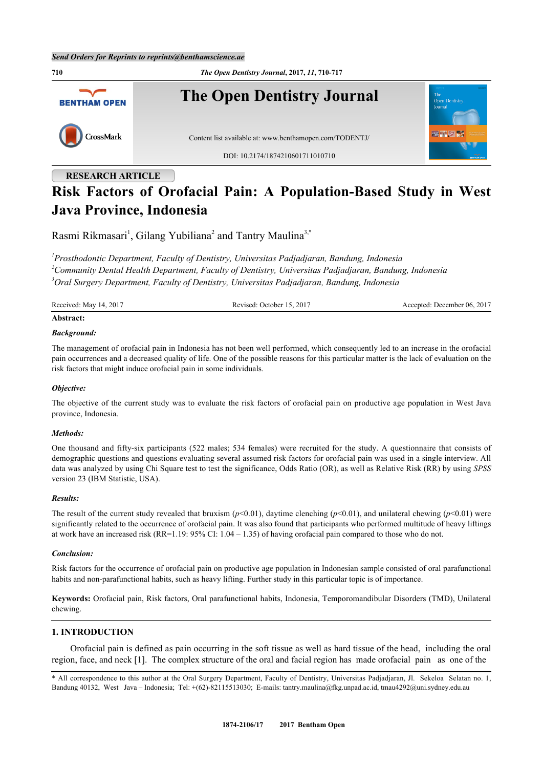**710** *The Open Dentistry Journal***, 2017,** *11***, 710-717 The Open Dentistry Journal BENTHAM OPEN** CrossMark Content list available at: [www.benthamopen.com/TODENTJ/](http://www.benthamopen.com/TODENTJ/) DOI: [10.2174/1874210601711010710](http://dx.doi.org/10.2174/1874210601711010710)

# **RESEARCH ARTICLE**

## **Risk Factors of Orofacial Pain: A Population-Based Study in West Java Province, Indonesia**

Rasmi Rikmasari<sup>[1](#page-0-0)</sup>, Gilang Yubiliana<sup>[2](#page-0-1)</sup> and Tantry Maulina<sup>[3,](#page-0-2)[\\*](#page-0-3)</sup>

<span id="page-0-1"></span><span id="page-0-0"></span>*1 Prosthodontic Department, Faculty of Dentistry, Universitas Padjadjaran, Bandung, Indonesia <sup>2</sup>Community Dental Health Department, Faculty of Dentistry, Universitas Padjadjaran, Bandung, Indonesia <sup>3</sup>Oral Surgery Department, Faculty of Dentistry, Universitas Padjadjaran, Bandung, Indonesia*

<span id="page-0-2"></span>

| Received: May 14, 2017 | Revised: October 15, 2017 | Accepted: December 06, 2017 |
|------------------------|---------------------------|-----------------------------|
|                        |                           |                             |

## **Abstract:** *Background:*

The management of orofacial pain in Indonesia has not been well performed, which consequently led to an increase in the orofacial pain occurrences and a decreased quality of life. One of the possible reasons for this particular matter is the lack of evaluation on the risk factors that might induce orofacial pain in some individuals.

## *Objective:*

The objective of the current study was to evaluate the risk factors of orofacial pain on productive age population in West Java province, Indonesia.

## *Methods:*

One thousand and fifty-six participants (522 males; 534 females) were recruited for the study. A questionnaire that consists of demographic questions and questions evaluating several assumed risk factors for orofacial pain was used in a single interview. All data was analyzed by using Chi Square test to test the significance, Odds Ratio (OR), as well as Relative Risk (RR) by using *SPSS* version 23 (IBM Statistic, USA).

## *Results:*

The result of the current study revealed that bruxism ( $p$ <0.01), daytime clenching ( $p$ <0.01), and unilateral chewing ( $p$ <0.01) were significantly related to the occurrence of orofacial pain. It was also found that participants who performed multitude of heavy liftings at work have an increased risk (RR=1.19: 95% CI: 1.04 – 1.35) of having orofacial pain compared to those who do not.

## *Conclusion:*

Risk factors for the occurrence of orofacial pain on productive age population in Indonesian sample consisted of oral parafunctional habits and non-parafunctional habits, such as heavy lifting. Further study in this particular topic is of importance.

**Keywords:** Orofacial pain, Risk factors, Oral parafunctional habits, Indonesia, Temporomandibular Disorders (TMD), Unilateral chewing.

## **1. INTRODUCTION**

 Orofacial pain is defined as pain occurring in the soft tissue as well as hard tissue of the head, including the oral region, face, and neck [[1\]](#page-6-0). The complex structure of the oral and facial region has made orofacial pain as one of the

<span id="page-0-3"></span><sup>\*</sup> All correspondence to this author at the Oral Surgery Department, Faculty of Dentistry, Universitas Padjadjaran, Jl. Sekeloa Selatan no. 1, Bandung 40132, West Java – Indonesia; Tel: +(62)-82115513030; E-mails: [tantry.maulina@fkg.unpad.ac.id,](mailto:tantry.maulina@fkg.unpad.ac.id) [tmau4292@uni.sydney.edu.au](mailto:tmau4292@uni.sydney.edu.au)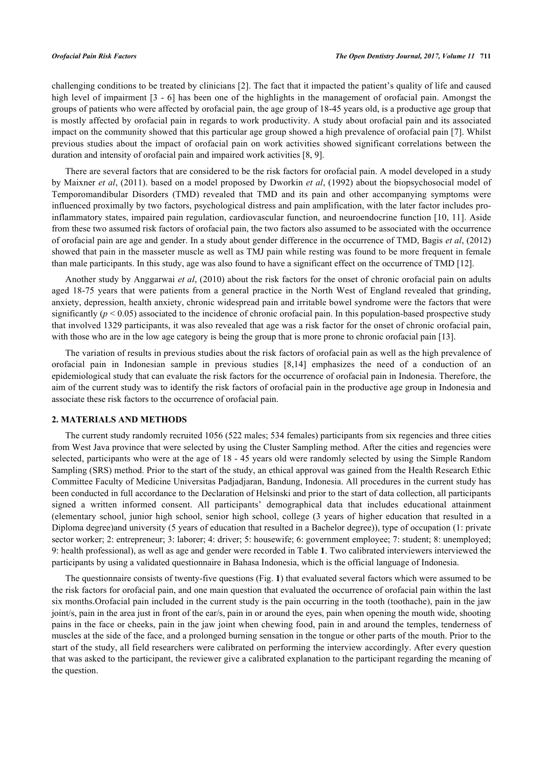challenging conditions to be treated by clinicians [\[2](#page-6-1)]. The fact that it impacted the patient's quality of life and caused high level of impairment [[3](#page-6-2) - [6\]](#page-6-3) has been one of the highlights in the management of orofacial pain. Amongst the groups of patients who were affected by orofacial pain, the age group of 18-45 years old, is a productive age group that is mostly affected by orofacial pain in regards to work productivity. A study about orofacial pain and its associated impact on the community showed that this particular age group showed a high prevalence of orofacial pain [[7](#page-6-4)]. Whilst previous studies about the impact of orofacial pain on work activities showed significant correlations between the duration and intensity of orofacial pain and impaired work activities [[8,](#page-6-5) [9\]](#page-6-6).

There are several factors that are considered to be the risk factors for orofacial pain. A model developed in a study by Maixner *et al*, (2011). based on a model proposed by Dworkin *et al*, (1992) about the biopsychosocial model of Temporomandibular Disorders (TMD) revealed that TMD and its pain and other accompanying symptoms were influenced proximally by two factors, psychological distress and pain amplification, with the later factor includes proinflammatory states, impaired pain regulation, cardiovascular function, and neuroendocrine function [[10,](#page-7-0) [11\]](#page-7-1). Aside from these two assumed risk factors of orofacial pain, the two factors also assumed to be associated with the occurrence of orofacial pain are age and gender. In a study about gender difference in the occurrence of TMD, Bagis *et al*, (2012) showed that pain in the masseter muscle as well as TMJ pain while resting was found to be more frequent in female than male participants. In this study, age was also found to have a significant effect on the occurrence of TMD [\[12](#page-7-2)].

Another study by Anggarwai *et al*, (2010) about the risk factors for the onset of chronic orofacial pain on adults aged 18-75 years that were patients from a general practice in the North West of England revealed that grinding, anxiety, depression, health anxiety, chronic widespread pain and irritable bowel syndrome were the factors that were significantly ( $p < 0.05$ ) associated to the incidence of chronic orofacial pain. In this population-based prospective study that involved 1329 participants, it was also revealed that age was a risk factor for the onset of chronic orofacial pain, with those who are in the low age category is being the group that is more prone to chronic orofacial pain [\[13](#page-7-3)].

The variation of results in previous studies about the risk factors of orofacial pain as well as the high prevalence of orofacial pain in Indonesian sample in previous studies[[8](#page-6-5)[,14\]](#page-7-4) emphasizes the need of a conduction of an epidemiological study that can evaluate the risk factors for the occurrence of orofacial pain in Indonesia. Therefore, the aim of the current study was to identify the risk factors of orofacial pain in the productive age group in Indonesia and associate these risk factors to the occurrence of orofacial pain.

## **2. MATERIALS AND METHODS**

The current study randomly recruited 1056 (522 males; 534 females) participants from six regencies and three cities from West Java province that were selected by using the Cluster Sampling method. After the cities and regencies were selected, participants who were at the age of 18 - 45 years old were randomly selected by using the Simple Random Sampling (SRS) method. Prior to the start of the study, an ethical approval was gained from the Health Research Ethic Committee Faculty of Medicine Universitas Padjadjaran, Bandung, Indonesia. All procedures in the current study has been conducted in full accordance to the Declaration of Helsinski and prior to the start of data collection, all participants signed a written informed consent. All participants' demographical data that includes educational attainment (elementary school, junior high school, senior high school, college (3 years of higher education that resulted in a Diploma degree)and university (5 years of education that resulted in a Bachelor degree)), type of occupation (1: private sector worker; 2: entrepreneur; 3: laborer; 4: driver; 5: housewife; 6: government employee; 7: student; 8: unemployed; 9: health professional), as well as age and gender were recorded in Table **[1](#page-2-0)**. Two calibrated interviewers interviewed the participants by using a validated questionnaire in Bahasa Indonesia, which is the official language of Indonesia.

The questionnaire consists of twenty-five questions (Fig. **[1](#page-2-1)**) that evaluated several factors which were assumed to be the risk factors for orofacial pain, and one main question that evaluated the occurrence of orofacial pain within the last six months.Orofacial pain included in the current study is the pain occurring in the tooth (toothache), pain in the jaw joint/s, pain in the area just in front of the ear/s, pain in or around the eyes, pain when opening the mouth wide, shooting pains in the face or cheeks, pain in the jaw joint when chewing food, pain in and around the temples, tenderness of muscles at the side of the face, and a prolonged burning sensation in the tongue or other parts of the mouth. Prior to the start of the study, all field researchers were calibrated on performing the interview accordingly. After every question that was asked to the participant, the reviewer give a calibrated explanation to the participant regarding the meaning of the question.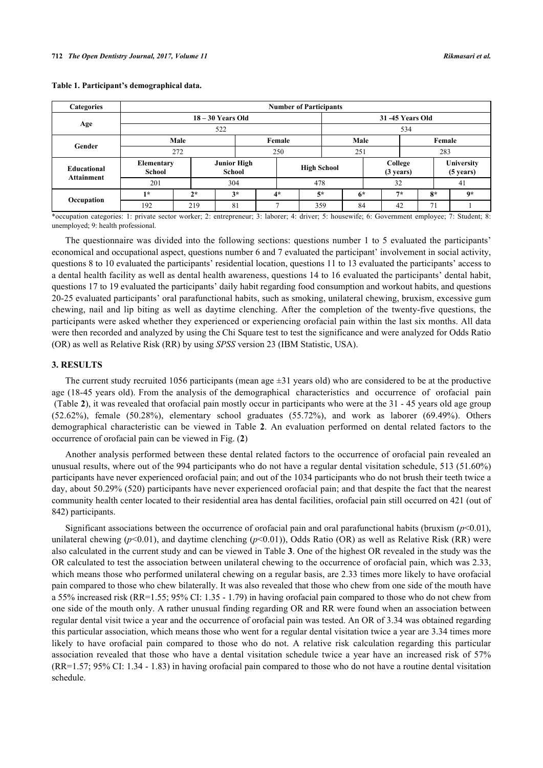<span id="page-2-0"></span>

| <b>Categories</b> |                      | <b>Number of Participants</b> |                                     |                    |      |      |                 |                                |      |                                   |      |
|-------------------|----------------------|-------------------------------|-------------------------------------|--------------------|------|------|-----------------|--------------------------------|------|-----------------------------------|------|
|                   |                      | $18 - 30$ Years Old           |                                     |                    |      |      | 31-45 Years Old |                                |      |                                   |      |
| Age               |                      | 522                           |                                     |                    |      |      | 534             |                                |      |                                   |      |
| Gender            | Male                 |                               | Female                              |                    | Male |      |                 | Female                         |      |                                   |      |
|                   |                      | 272                           | 250                                 |                    |      |      |                 | 251                            |      | 283                               |      |
| Educational       | Elementary<br>School |                               | <b>Junior High</b><br><b>School</b> | <b>High School</b> |      |      |                 | College<br>$(3 \text{ years})$ |      | University<br>$(5 \text{ years})$ |      |
| <b>Attainment</b> | 201                  |                               | 304                                 |                    |      | 478  |                 |                                | 32   |                                   | 41   |
|                   | $1*$                 | $2*$                          | $3*$                                |                    | $4*$ | $5*$ |                 | $6*$                           | $7*$ | $8*$                              | $9*$ |
| Occupation        | 192                  | 219                           | 81                                  |                    | −    | 359  |                 | 84                             | 42   | 71                                |      |

\*occupation categories: 1: private sector worker; 2: entrepreneur; 3: laborer; 4: driver; 5: housewife; 6: Government employee; 7: Student; 8: unemployed; 9: health professional.

The questionnaire was divided into the following sections: questions number 1 to 5 evaluated the participants' economical and occupational aspect, questions number 6 and 7 evaluated the participant' involvement in social activity, questions 8 to 10 evaluated the participants' residential location, questions 11 to 13 evaluated the participants' access to a dental health facility as well as dental health awareness, questions 14 to 16 evaluated the participants' dental habit, questions 17 to 19 evaluated the participants' daily habit regarding food consumption and workout habits, and questions 20-25 evaluated participants' oral parafunctional habits, such as smoking, unilateral chewing, bruxism, excessive gum chewing, nail and lip biting as well as daytime clenching. After the completion of the twenty-five questions, the participants were asked whether they experienced or experiencing orofacial pain within the last six months. All data were then recorded and analyzed by using the Chi Square test to test the significance and were analyzed for Odds Ratio (OR) as well as Relative Risk (RR) by using *SPSS* version 23 (IBM Statistic, USA).

## **3. RESULTS**

The current study recruited 1056 participants (mean age  $\pm 31$  years old) who are considered to be at the productive age (18-45 years old). From the analysis of the demographical characteristics and occurrence of orofacial pain (Table **[2](#page-3-0)**), it was revealed that orofacial pain mostly occur in participants who were at the 31 - 45 years old age group (52.62%), female (50.28%), elementary school graduates (55.72%), and work as laborer (69.49%). Others demographical characteristic can be viewed in Table**2**. An evaluation performed on dental related factors to the occurrence of orofacial pain can be viewed in Fig. (**[2](#page-4-0)**)

Another analysis performed between these dental related factors to the occurrence of orofacial pain revealed an unusual results, where out of the 994 participants who do not have a regular dental visitation schedule, 513 (51.60%) participants have never experienced orofacial pain; and out of the 1034 participants who do not brush their teeth twice a day, about 50.29% (520) participants have never experienced orofacial pain; and that despite the fact that the nearest community health center located to their residential area has dental facilities, orofacial pain still occurred on 421 (out of 842) participants.

<span id="page-2-1"></span>Significant associations between the occurrence of orofacial pain and oral parafunctional habits (bruxism  $(p<0.01)$ , unilateral chewing (*p*<0.01), and daytime clenching (*p*<0.01)), Odds Ratio (OR) as well as Relative Risk (RR) were also calculated in the current study and can be viewed in Table **[3](#page-4-1)**. One of the highest OR revealed in the study was the OR calculated to test the association between unilateral chewing to the occurrence of orofacial pain, which was 2.33, which means those who performed unilateral chewing on a regular basis, are 2.33 times more likely to have orofacial pain compared to those who chew bilaterally. It was also revealed that those who chew from one side of the mouth have a 55% increased risk (RR=1.55; 95% CI: 1.35 - 1.79) in having orofacial pain compared to those who do not chew from one side of the mouth only. A rather unusual finding regarding OR and RR were found when an association between regular dental visit twice a year and the occurrence of orofacial pain was tested. An OR of 3.34 was obtained regarding this particular association, which means those who went for a regular dental visitation twice a year are 3.34 times more likely to have orofacial pain compared to those who do not. A relative risk calculation regarding this particular association revealed that those who have a dental visitation schedule twice a year have an increased risk of 57% (RR=1.57; 95% CI: 1.34 - 1.83) in having orofacial pain compared to those who do not have a routine dental visitation schedule.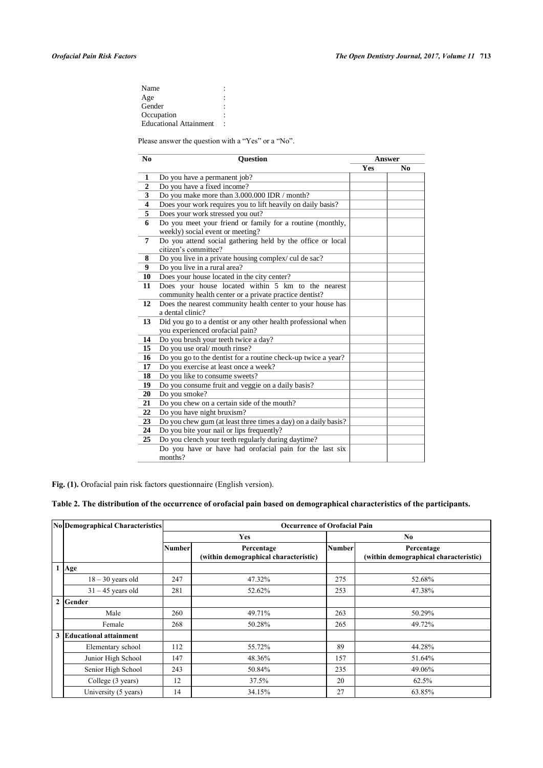| Name                          |  |
|-------------------------------|--|
| Age                           |  |
| Gender                        |  |
| Occupation                    |  |
| <b>Educational Attainment</b> |  |

Please answer the question with a "Yes" or a "No".

| N <sub>0</sub>   | <b>Ouestion</b>                                                | <b>Answer</b> |     |  |
|------------------|----------------------------------------------------------------|---------------|-----|--|
|                  |                                                                | <b>Yes</b>    | No. |  |
| 1                | Do you have a permanent job?                                   |               |     |  |
| $\boldsymbol{2}$ | Do you have a fixed income?                                    |               |     |  |
| 3                | Do you make more than 3.000.000 IDR / month?                   |               |     |  |
| 4                | Does your work requires you to lift heavily on daily basis?    |               |     |  |
| 5                | Does your work stressed you out?                               |               |     |  |
| 6                | Do you meet your friend or family for a routine (monthly,      |               |     |  |
|                  | weekly) social event or meeting?                               |               |     |  |
| 7                | Do you attend social gathering held by the office or local     |               |     |  |
|                  | citizen's committee?                                           |               |     |  |
| 8                | Do you live in a private housing complex/ cul de sac?          |               |     |  |
| 9                | Do you live in a rural area?                                   |               |     |  |
| 10               | Does your house located in the city center?                    |               |     |  |
| 11               | Does your house located within 5 km to the nearest             |               |     |  |
|                  | community health center or a private practice dentist?         |               |     |  |
| 12               | Does the nearest community health center to your house has     |               |     |  |
|                  | a dental clinic?                                               |               |     |  |
| 13               | Did you go to a dentist or any other health professional when  |               |     |  |
|                  | you experienced orofacial pain?                                |               |     |  |
| 14               | Do you brush your teeth twice a day?                           |               |     |  |
| 15               | Do you use oral/mouth rinse?                                   |               |     |  |
| 16               | Do you go to the dentist for a routine check-up twice a year?  |               |     |  |
| 17               | Do you exercise at least once a week?                          |               |     |  |
| 18               | Do you like to consume sweets?                                 |               |     |  |
| 19               | Do you consume fruit and veggie on a daily basis?              |               |     |  |
| 20               | Do you smoke?                                                  |               |     |  |
| 21               | Do you chew on a certain side of the mouth?                    |               |     |  |
| 22               | Do you have night bruxism?                                     |               |     |  |
| 23               | Do you chew gum (at least three times a day) on a daily basis? |               |     |  |
| 24               | Do you bite your nail or lips frequently?                      |               |     |  |
| 25               | Do you clench your teeth regularly during daytime?             |               |     |  |
|                  | Do you have or have had orofacial pain for the last six        |               |     |  |
|                  | months?                                                        |               |     |  |

**Fig. (1).** Orofacial pain risk factors questionnaire (English version).

## <span id="page-3-0"></span>**Table 2. The distribution of the occurrence of orofacial pain based on demographical characteristics of the participants.**

| No Demographical Characteristics | <b>Occurrence of Orofacial Pain</b> |                                                     |               |                                                     |  |
|----------------------------------|-------------------------------------|-----------------------------------------------------|---------------|-----------------------------------------------------|--|
|                                  |                                     | <b>Yes</b>                                          |               | No.                                                 |  |
|                                  | <b>Number</b>                       | Percentage<br>(within demographical characteristic) | <b>Number</b> | Percentage<br>(within demographical characteristic) |  |
| $1$  Age                         |                                     |                                                     |               |                                                     |  |
| $18 - 30$ years old              | 247                                 | 47.32%                                              | 275           | 52.68%                                              |  |
| $31 - 45$ years old              | 281                                 | 52.62%                                              | 253           | 47.38%                                              |  |
| 2 Gender                         |                                     |                                                     |               |                                                     |  |
| Male                             | 260                                 | 49.71%                                              | 263           | 50.29%                                              |  |
| Female                           | 268                                 | 50.28%                                              | 265           | 49.72%                                              |  |
| 3 Educational attainment         |                                     |                                                     |               |                                                     |  |
| Elementary school                | 112                                 | 55.72%                                              | 89            | 44.28%                                              |  |
| Junior High School               | 147                                 | 48.36%                                              | 157           | 51.64%                                              |  |
| Senior High School               | 243                                 | 50.84%                                              | 235           | 49.06%                                              |  |
| College (3 years)                | 12                                  | 37.5%                                               | 20            | 62.5%                                               |  |
| University (5 years)             | 14                                  | 34.15%                                              | 27            | 63.85%                                              |  |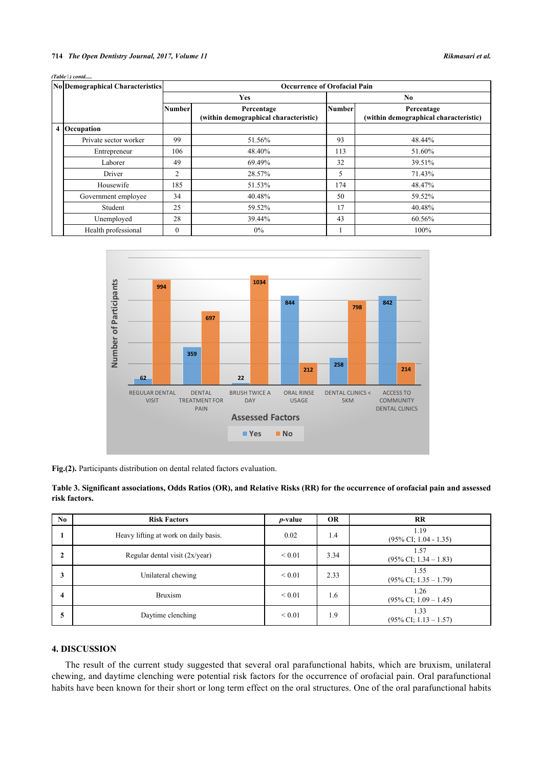*(Table 4) contd.* 

| No Demographical Characteristics | <b>Occurrence of Orofacial Pain</b> |                                                     |               |                                                     |  |
|----------------------------------|-------------------------------------|-----------------------------------------------------|---------------|-----------------------------------------------------|--|
|                                  |                                     | <b>Yes</b>                                          |               | N <sub>0</sub>                                      |  |
|                                  | <b>Number</b>                       | Percentage<br>(within demographical characteristic) | <b>Number</b> | Percentage<br>(within demographical characteristic) |  |
| 4 Occupation                     |                                     |                                                     |               |                                                     |  |
| Private sector worker            | 99                                  | 51.56%                                              | 93            | 48.44%                                              |  |
| Entrepreneur                     | 106                                 | 48.40%                                              | 113           | 51.60%                                              |  |
| Laborer                          | 49                                  | 69.49%                                              | 32            | 39.51%                                              |  |
| Driver                           | 2                                   | 28.57%                                              | 5             | 71.43%                                              |  |
| Housewife                        | 185                                 | 51.53%                                              | 174           | 48.47%                                              |  |
| Government employee              | 34                                  | 40.48%                                              | 50            | 59.52%                                              |  |
| Student                          | 25                                  | 59.52%                                              | 17            | 40.48%                                              |  |
| Unemployed                       | 28                                  | 39.44%                                              | 43            | 60.56%                                              |  |
| Health professional              | $\theta$                            | $0\%$                                               |               | 100%                                                |  |

<span id="page-4-0"></span>

**Fig.(2).** Participants distribution on dental related factors evaluation.

<span id="page-4-1"></span>

| Table 3. Significant associations, Odds Ratios (OR), and Relative Risks (RR) for the occurrence of orofacial pain and assessed |  |  |
|--------------------------------------------------------------------------------------------------------------------------------|--|--|
| risk factors.                                                                                                                  |  |  |

| No           | <b>Risk Factors</b>                   | <i>p</i> -value | <b>OR</b> | RR                                       |
|--------------|---------------------------------------|-----------------|-----------|------------------------------------------|
| л.           | Heavy lifting at work on daily basis. | 0.02            | 1.4       | 1.19<br>$(95\% \text{ CI}; 1.04 - 1.35)$ |
| $\mathbf{2}$ | Regular dental visit (2x/year)        | ${}_{0.01}$     | 3.34      | 1.57<br>$(95\% \text{ CI}; 1.34 - 1.83)$ |
| 3            | Unilateral chewing                    | ${}_{0.01}$     | 2.33      | 1.55<br>$(95\% \text{ CI}; 1.35 - 1.79)$ |
| 4            | <b>Bruxism</b>                        | ${}_{0.01}$     | 1.6       | 1.26<br>$(95\% \text{ CI}; 1.09 - 1.45)$ |
| 5            | Daytime clenching                     | ${}_{0.01}$     | 1.9       | 1.33<br>$(95\% \text{ CI}; 1.13 - 1.57)$ |

## **4. DISCUSSION**

The result of the current study suggested that several oral parafunctional habits, which are bruxism, unilateral chewing, and daytime clenching were potential risk factors for the occurrence of orofacial pain. Oral parafunctional habits have been known for their short or long term effect on the oral structures. One of the oral parafunctional habits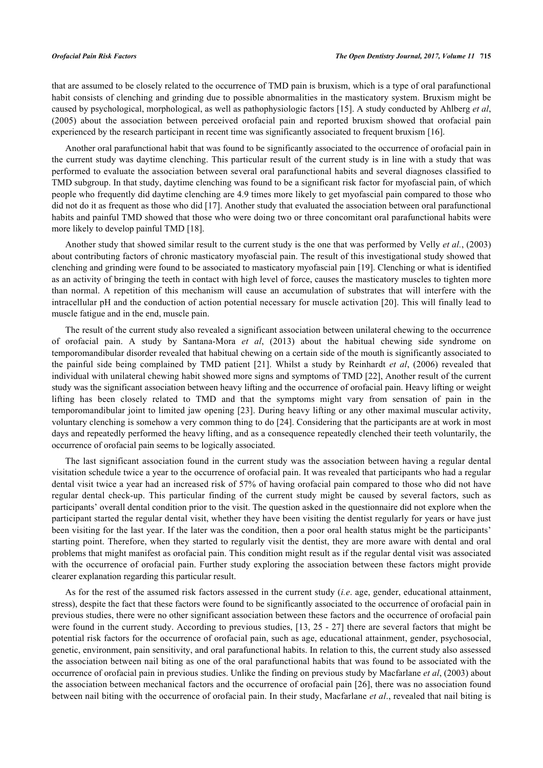that are assumed to be closely related to the occurrence of TMD pain is bruxism, which is a type of oral parafunctional habit consists of clenching and grinding due to possible abnormalities in the masticatory system. Bruxism might be caused by psychological, morphological, as well as pathophysiologic factors [[15\]](#page-7-5). A study conducted by Ahlberg *et al*, (2005) about the association between perceived orofacial pain and reported bruxism showed that orofacial pain experienced by the research participant in recent time was significantly associated to frequent bruxism [\[16](#page-7-6)].

Another oral parafunctional habit that was found to be significantly associated to the occurrence of orofacial pain in the current study was daytime clenching. This particular result of the current study is in line with a study that was performed to evaluate the association between several oral parafunctional habits and several diagnoses classified to TMD subgroup. In that study, daytime clenching was found to be a significant risk factor for myofascial pain, of which people who frequently did daytime clenching are 4.9 times more likely to get myofascial pain compared to those who did not do it as frequent as those who did [[17](#page-7-7)]. Another study that evaluated the association between oral parafunctional habits and painful TMD showed that those who were doing two or three concomitant oral parafunctional habits were more likely to develop painful TMD [\[18](#page-7-8)].

Another study that showed similar result to the current study is the one that was performed by Velly *et al.*, (2003) about contributing factors of chronic masticatory myofascial pain. The result of this investigational study showed that clenching and grinding were found to be associated to masticatory myofascial pain [[19\]](#page-7-9). Clenching or what is identified as an activity of bringing the teeth in contact with high level of force, causes the masticatory muscles to tighten more than normal. A repetition of this mechanism will cause an accumulation of substrates that will interfere with the intracellular pH and the conduction of action potential necessary for muscle activation [\[20\]](#page-7-10). This will finally lead to muscle fatigue and in the end, muscle pain.

The result of the current study also revealed a significant association between unilateral chewing to the occurrence of orofacial pain. A study by Santana-Mora *et al*, (2013) about the habitual chewing side syndrome on temporomandibular disorder revealed that habitual chewing on a certain side of the mouth is significantly associated to the painful side being complained by TMD patient[[21](#page-7-11)]. Whilst a study by Reinhardt *et al*, (2006) revealed that individual with unilateral chewing habit showed more signs and symptoms of TMD [[22\]](#page-7-12), Another result of the current study was the significant association between heavy lifting and the occurrence of orofacial pain. Heavy lifting or weight lifting has been closely related to TMD and that the symptoms might vary from sensation of pain in the temporomandibular joint to limited jaw opening [[23\]](#page-7-13). During heavy lifting or any other maximal muscular activity, voluntary clenching is somehow a very common thing to do [[24\]](#page-7-14). Considering that the participants are at work in most days and repeatedly performed the heavy lifting, and as a consequence repeatedly clenched their teeth voluntarily, the occurrence of orofacial pain seems to be logically associated.

The last significant association found in the current study was the association between having a regular dental visitation schedule twice a year to the occurrence of orofacial pain. It was revealed that participants who had a regular dental visit twice a year had an increased risk of 57% of having orofacial pain compared to those who did not have regular dental check-up. This particular finding of the current study might be caused by several factors, such as participants' overall dental condition prior to the visit. The question asked in the questionnaire did not explore when the participant started the regular dental visit, whether they have been visiting the dentist regularly for years or have just been visiting for the last year. If the later was the condition, then a poor oral health status might be the participants' starting point. Therefore, when they started to regularly visit the dentist, they are more aware with dental and oral problems that might manifest as orofacial pain. This condition might result as if the regular dental visit was associated with the occurrence of orofacial pain. Further study exploring the association between these factors might provide clearer explanation regarding this particular result.

As for the rest of the assumed risk factors assessed in the current study (*i.e*. age, gender, educational attainment, stress), despite the fact that these factors were found to be significantly associated to the occurrence of orofacial pain in previous studies, there were no other significant association between these factors and the occurrence of orofacial pain were found in the current study. According to previous studies, [[13,](#page-7-3) [25](#page-7-15) - [27\]](#page-7-16) there are several factors that might be potential risk factors for the occurrence of orofacial pain, such as age, educational attainment, gender, psychosocial, genetic, environment, pain sensitivity, and oral parafunctional habits. In relation to this, the current study also assessed the association between nail biting as one of the oral parafunctional habits that was found to be associated with the occurrence of orofacial pain in previous studies. Unlike the finding on previous study by Macfarlane *et al*, (2003) about the association between mechanical factors and the occurrence of orofacial pain [\[26\]](#page-7-17), there was no association found between nail biting with the occurrence of orofacial pain. In their study, Macfarlane *et al*., revealed that nail biting is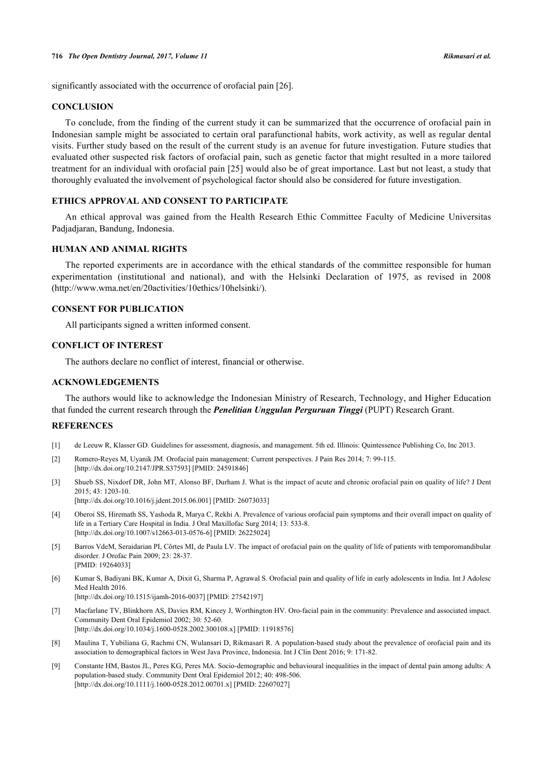significantly associated with the occurrence of orofacial pain [\[26](#page-7-17)].

## **CONCLUSION**

To conclude, from the finding of the current study it can be summarized that the occurrence of orofacial pain in Indonesian sample might be associated to certain oral parafunctional habits, work activity, as well as regular dental visits. Further study based on the result of the current study is an avenue for future investigation. Future studies that evaluated other suspected risk factors of orofacial pain, such as genetic factor that might resulted in a more tailored treatment for an individual with orofacial pain [[25](#page-7-15)] would also be of great importance. Last but not least, a study that thoroughly evaluated the involvement of psychological factor should also be considered for future investigation.

## **ETHICS APPROVAL AND CONSENT TO PARTICIPATE**

An ethical approval was gained from the Health Research Ethic Committee Faculty of Medicine Universitas Padjadjaran, Bandung, Indonesia.

## **HUMAN AND ANIMAL RIGHTS**

The reported experiments are in accordance with the ethical standards of the committee responsible for human experimentation (institutional and national), and with the Helsinki Declaration of 1975, as revised in 2008 [\(http://www.wma.net/en/20activities/10ethics/10helsinki/\)](http://www.wma.net/en/20activities/10ethics/10helsinki/).

## **CONSENT FOR PUBLICATION**

All participants signed a written informed consent.

## **CONFLICT OF INTEREST**

The authors declare no conflict of interest, financial or otherwise.

#### **ACKNOWLEDGEMENTS**

The authors would like to acknowledge the Indonesian Ministry of Research, Technology, and Higher Education that funded the current research through the *Penelitian Unggulan Perguruan Tinggi* (PUPT) Research Grant.

#### **REFERENCES**

- <span id="page-6-0"></span>[1] de Leeuw R, Klasser GD. Guidelines for assessment, diagnosis, and management. 5th ed. Illinois: Quintessence Publishing Co, Inc 2013.
- <span id="page-6-1"></span>[2] Romero-Reyes M, Uyanik JM. Orofacial pain management: Current perspectives. J Pain Res 2014; 7: 99-115. [\[http://dx.doi.org/10.2147/JPR.S37593](http://dx.doi.org/10.2147/JPR.S37593)] [PMID: [24591846\]](http://www.ncbi.nlm.nih.gov/pubmed/24591846)
- <span id="page-6-2"></span>[3] Shueb SS, Nixdorf DR, John MT, Alonso BF, Durham J. What is the impact of acute and chronic orofacial pain on quality of life? J Dent 2015; 43: 1203-10. [\[http://dx.doi.org/10.1016/j.jdent.2015.06.001](http://dx.doi.org/10.1016/j.jdent.2015.06.001)] [PMID: [26073033\]](http://www.ncbi.nlm.nih.gov/pubmed/26073033)
- [4] Oberoi SS, Hiremath SS, Yashoda R, Marya C, Rekhi A. Prevalence of various orofacial pain symptoms and their overall impact on quality of life in a Tertiary Care Hospital in India. J Oral Maxillofac Surg 2014; 13: 533-8. [\[http://dx.doi.org/10.1007/s12663-013-0576-6\]](http://dx.doi.org/10.1007/s12663-013-0576-6) [PMID: [26225024](http://www.ncbi.nlm.nih.gov/pubmed/26225024)]
- [5] Barros VdeM, Seraidarian PI, Côrtes MI, de Paula LV. The impact of orofacial pain on the quality of life of patients with temporomandibular disorder. J Orofac Pain 2009; 23: 28-37. [PMID: [19264033\]](http://www.ncbi.nlm.nih.gov/pubmed/19264033)
- <span id="page-6-3"></span>[6] Kumar S, Badiyani BK, Kumar A, Dixit G, Sharma P, Agrawal S. Orofacial pain and quality of life in early adolescents in India. Int J Adolesc Med Health 2016. [\[http://dx.doi.org/10.1515/ijamh-2016-0037](http://dx.doi.org/10.1515/ijamh-2016-0037)] [PMID: [27542197\]](http://www.ncbi.nlm.nih.gov/pubmed/27542197)
- <span id="page-6-4"></span>[7] Macfarlane TV, Blinkhorn AS, Davies RM, Kincey J, Worthington HV. Oro-facial pain in the community: Prevalence and associated impact. Community Dent Oral Epidemiol 2002; 30: 52-60. [\[http://dx.doi.org/10.1034/j.1600-0528.2002.300108.x\]](http://dx.doi.org/10.1034/j.1600-0528.2002.300108.x) [PMID: [11918576](http://www.ncbi.nlm.nih.gov/pubmed/11918576)]
- <span id="page-6-5"></span>[8] Maulina T, Yubiliana G, Rachmi CN, Wulansari D, Rikmasari R. A population-based study about the prevalence of orofacial pain and its association to demographical factors in West Java Province, Indonesia. Int J Clin Dent 2016; 9: 171-82.
- <span id="page-6-6"></span>[9] Constante HM, Bastos JL, Peres KG, Peres MA. Socio-demographic and behavioural inequalities in the impact of dental pain among adults: A population-based study. Community Dent Oral Epidemiol 2012; 40: 498-506. [\[http://dx.doi.org/10.1111/j.1600-0528.2012.00701.x\]](http://dx.doi.org/10.1111/j.1600-0528.2012.00701.x) [PMID: [22607027](http://www.ncbi.nlm.nih.gov/pubmed/22607027)]